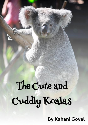# The Cute and Cuddly Koalas

**By Kahani Goyal**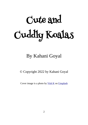# Cute and Cuddly Koalas

# By Kahani Goyal

© Copyright 2022 by Kahani Goyal

Cover image is a photo by  $Vish K$  on [Unsplash](https://unsplash.com/s/photos/koala?utm_source=unsplash&utm_medium=referral&utm_content=creditCopyText)</u>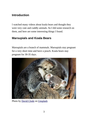#### **Introduction**

I watched many videos about koala bears and thought they were very cute and cuddly animals. So I did some research on them, and here are some interesting things I found.

### **Marsupials and Koala Bears**

Marsupials are a branch of mammals. Marsupials stay pregnant for a very short time and have a pouch. Koala bears stay pregnant for 30-35 days.



Photo by [David Clode](https://unsplash.com/@davidclode?utm_source=unsplash&utm_medium=referral&utm_content=creditCopyText) on [Unsplash](https://unsplash.com/photos/cSNumclQixw?utm_source=unsplash&utm_medium=referral&utm_content=creditCopyText)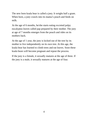The new born koala bear is called a joey. It weighs half a gram. When born, a joey crawls into its mama's pouch and feeds on milk.

At the age of 6 months, he/she starts eating excreted pulpy eucalyptus leaves called pap prepared by their mother. The joey at age of 7 months emerges from the pouch and rides on its mothers back.

At the age of 1 year, the joey is kicked out of the tree by its mother to live independently on its own tree. At this age, the koala bear has learned to climb trees and eat leaves. Soon these koala bears will become pregnant and repeat the process.

If the joey is a female, it sexually matures at the age of three. If the joey is a male, it sexually matures at the age of four.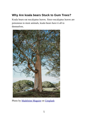## **Why Are koala bears Stuck to Gum Trees?**

Koala bears eat eucalyptus leaves. Since eucalyptus leaves are poisonous to most animals, koala bears have it all to themselves.



Photo by [Madeleine Maguire](https://unsplash.com/@mmaguire?utm_source=unsplash&utm_medium=referral&utm_content=creditCopyText) on [Unsplash](https://unsplash.com/s/photos/eucalyptus-tree?utm_source=unsplash&utm_medium=referral&utm_content=creditCopyText)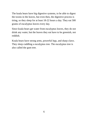The koala bears have big digestive systems, to be able to digest the toxins in the leaves, but even then, the digestive process is tiring, so they sleep for at least 18-22 hours a day. They eat 500 grams of eucalyptus leaves every day.

Since koala bears get water from eucalyptus leaves, they do not drink any water, but the leaves they eat have to be greenish, not reddish.

Koala bears have strong arms, powerful legs, and sharp claws. They sleep cuddling a eucalyptus tree. The eucalyptus tree is also called the gum tree.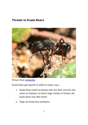#### **Threats to Koala Bears**



Picture from [wikipedia](https://upload.wikimedia.org/wikipedia/commons/thumb/e/e0/Rhytidoponera_metallica_body_shot.jpg/309px-Rhytidoponera_metallica_body_shot.jpg)

Koala bears get injured or killed in many ways.

- 1. Koala bears need eucalyptus trees for their survival, but when we humans cut down large chunks of forests, the koala bears lose their home.
- 2. Dogs are koala bear predators.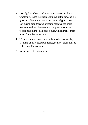- 3. Usually, koala bears and green ants co-exist without a problem, because the koala bears live at the top, and the green ants live at the bottom, of the eucalyptus trees. But during droughts and breeding seasons, the koala bears come down the trees and the green ants leave formic acid in the koala bear's eyes, which makes them blind. But this can be cured.
- 4. When the koala bears come to the roads, because they are blind or have lost their homes, some of them may be killed in traffic accidents.
- 5. Koala bears die in forest fires.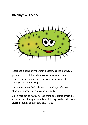### **Chlamydia Disease**



Koala bears get chlamydia from a bacteria called *chlamydia pneumonia* . Adult koala bears can catch chlamydia from sexual transmission, whereas the baby koala bears catch chlamydia from infected pap.

Chlamydia causes the koala bears, painful eye infections, blindness, bladder infections and infertility.

Chlamydia can be treated with antibiotics. But that upsets the koala bear's unique gut bacteria, which they need to help them digest the toxins in the eucalyptus leaves.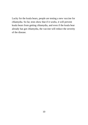Lucky for the koala bears, people are testing a new vaccine for chlamydia. So far, tests show that if it works, it will prevent koala bears from getting chlamydia, and even if the koala bear already has got chlamydia, the vaccine will reduce the severity of the disease.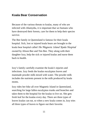#### **Koala Bear Conservation**

Because of the various threats to koalas, many of who are infected with chlamydia, it is important that we humans who have destroyed their forests, care for them to help their species survive.

The Bee family in Queensland is famous for their koala hospital. Sick, lost or injured koala bears are brought to the koala bear hospital called *The Magnetic Island Koala Hospital* owned by Alison Bee and Tim Bee. They along with their daughter Izzy, help the sick or injured koalas and nurse them back to health.

Izzy's family carefully examine the koala's injuries and infections. Izzy feeds the koalas eucalyptus leaves and manmade powder milk mixed with water. The powder milk includes the nutrients present in the milk produced by koala moms.

Izzy rides her bike all over Magnetic Island in Queensland, searching for large fallen eucalyptus trunks and branches and takes them to the hospital for the koalas to live on. She gets fresh leaf for the koalas every day. There are three types of leaves koalas can eat, so when a new koala comes in, Izzy tries all three types of leaves to figure out their favorite.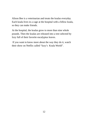Alison Bee is a veterinarian and treats the koalas everyday. Each koala lives in a cage at the hospital with a fellow koala, so they can make friends.

At the hospital, the koalas grow to more than nine whole pounds. Then the koalas are released into a tree selected by Izzy full of their favorite eucalyptus leaves.

 If you want to know more about the way they do it, watch their show on Netflix called "Izzy's Koala World".